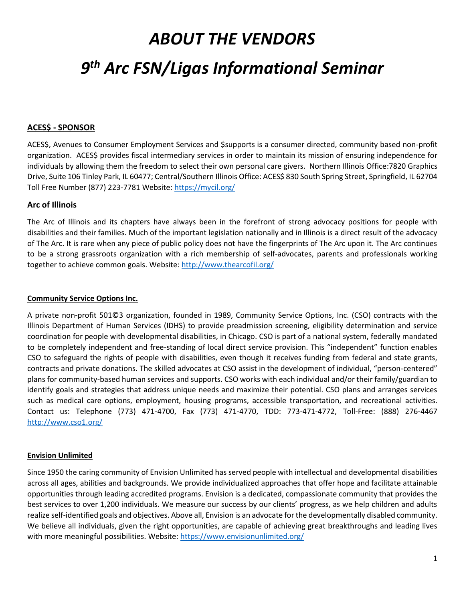# *ABOUT THE VENDORS 9 th Arc FSN/Ligas Informational Seminar*

## **ACES\$ - SPONSOR**

ACES\$, Avenues to Consumer Employment Services and \$supports is a consumer directed, community based non-profit organization. ACES\$ provides fiscal intermediary services in order to maintain its mission of ensuring independence for individuals by allowing them the freedom to select their own personal care givers. Northern Illinois Office:7820 Graphics Drive, Suite 106 Tinley Park, IL 60477; Central/Southern Illinois Office: ACES\$ 830 South Spring Street, Springfield, IL 62704 Toll Free Number (877) 223-7781 Website[: https://mycil.org/](https://mycil.org/)

#### **Arc of Illinois**

The Arc of Illinois and its chapters have always been in the forefront of strong advocacy positions for people with disabilities and their families. Much of the important legislation nationally and in Illinois is a direct result of the advocacy of The Arc. It is rare when any piece of public policy does not have the fingerprints of The Arc upon it. The Arc continues to be a strong grassroots organization with a rich membership of self-advocates, parents and professionals working together to achieve common goals. Website:<http://www.thearcofil.org/>

#### **Community Service Options Inc.**

A private non-profit 501©3 organization, founded in 1989, Community Service Options, Inc. (CSO) contracts with the Illinois Department of Human Services (IDHS) to provide preadmission screening, eligibility determination and service coordination for people with developmental disabilities, in Chicago. CSO is part of a national system, federally mandated to be completely independent and free-standing of local direct service provision. This "independent" function enables CSO to safeguard the rights of people with disabilities, even though it receives funding from federal and state grants, contracts and private donations. The skilled advocates at CSO assist in the development of individual, "person-centered" plans for community-based human services and supports. CSO works with each individual and/or their family/guardian to identify goals and strategies that address unique needs and maximize their potential. CSO plans and arranges services such as medical care options, employment, housing programs, accessible transportation, and recreational activities. Contact us: Telephone (773) 471-4700, Fax (773) 471-4770, TDD: 773-471-4772, Toll-Free: (888) 276-4467 <http://www.cso1.org/>

#### **Envision Unlimited**

Since 1950 the caring community of Envision Unlimited has served people with intellectual and developmental disabilities across all ages, abilities and backgrounds. We provide individualized approaches that offer hope and facilitate attainable opportunities through leading accredited programs. Envision is a dedicated, compassionate community that provides the best services to over 1,200 individuals. We measure our success by our clients' progress, as we help children and adults realize self-identified goals and objectives. Above all, Envision is an advocate for the developmentally disabled community. We believe all individuals, given the right opportunities, are capable of achieving great breakthroughs and leading lives with more meaningful possibilities. Website: <https://www.envisionunlimited.org/>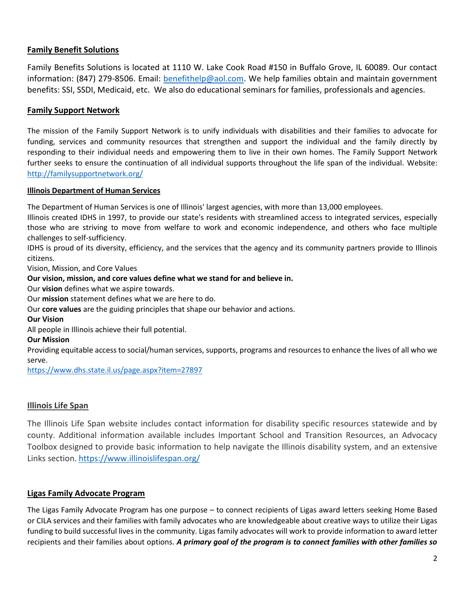# **Family Benefit Solutions**

Family Benefits Solutions is located at 1110 W. Lake Cook Road #150 in Buffalo Grove, IL 60089. Our contact information: (847) 279-8506. Email: [benefithelp@aol.com.](mailto:benefithelp@aol.com) We help families obtain and maintain government benefits: SSI, SSDI, Medicaid, etc. We also do educational seminars for families, professionals and agencies.

## **Family Support Network**

The mission of the Family Support Network is to unify individuals with disabilities and their families to advocate for funding, services and community resources that strengthen and support the individual and the family directly by responding to their individual needs and empowering them to live in their own homes. The Family Support Network further seeks to ensure the continuation of all individual supports throughout the life span of the individual. Website: <http://familysupportnetwork.org/>

#### **Illinois Department of Human Services**

The Department of Human Services is one of Illinois' largest agencies, with more than 13,000 employees.

Illinois created IDHS in 1997, to provide our state's residents with streamlined access to integrated services, especially those who are striving to move from welfare to work and economic independence, and others who face multiple challenges to self-sufficiency.

IDHS is proud of its diversity, efficiency, and the services that the agency and its community partners provide to Illinois citizens.

Vision, Mission, and Core Values

#### **Our vision, mission, and core values define what we stand for and believe in.**

Our **vision** defines what we aspire towards.

Our **mission** statement defines what we are here to do.

Our **core values** are the guiding principles that shape our behavior and actions.

#### **Our Vision**

All people in Illinois achieve their full potential.

#### **Our Mission**

Providing equitable access to social/human services, supports, programs and resources to enhance the lives of all who we serve.

<https://www.dhs.state.il.us/page.aspx?item=27897>

## **Illinois Life Span**

The Illinois Life Span website includes contact information for disability specific resources statewide and by county. Additional information available includes Important School and Transition Resources, an Advocacy Toolbox designed to provide basic information to help navigate the Illinois disability system, and an extensive Links section. <https://www.illinoislifespan.org/>

## **Ligas Family Advocate Program**

The Ligas Family Advocate Program has one purpose – to connect recipients of Ligas award letters seeking Home Based or CILA services and their families with family advocates who are knowledgeable about creative ways to utilize their Ligas funding to build successful lives in the community. Ligas family advocates will work to provide information to award letter recipients and their families about options. *A primary goal of the program is to connect families with other families so*